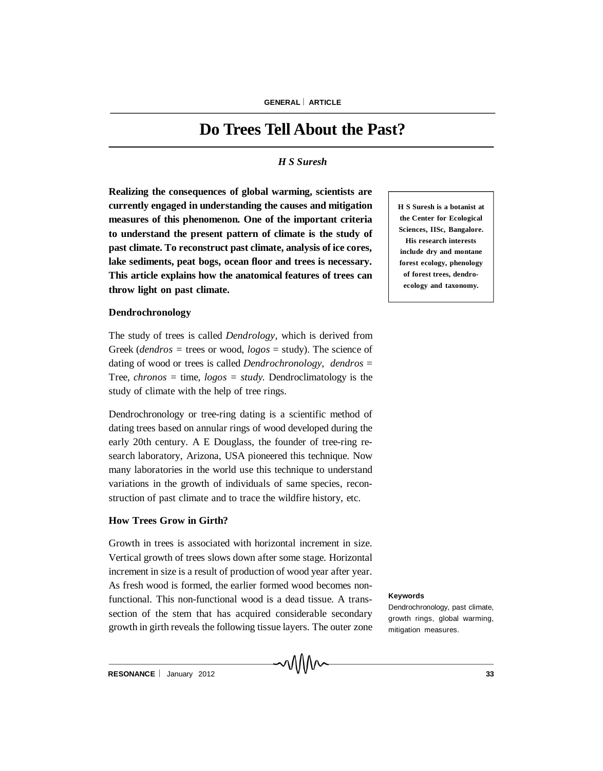# **Do Trees Tell About the Past?**

## *H S Suresh*

**Realizing the consequences of global warming, scientists are currently engaged in understanding the causes and mitigation measures of this phenomenon. One of the important criteria to understand the present pattern of climate is the study of past climate. To reconstruct past climate, analysis of ice cores, lake sediments, peat bogs, ocean floor and trees is necessary. This article explains how the anatomical features of trees can throw light on past climate.**

## **Dendrochronology**

The study of trees is called *Dendrology,* which is derived from Greek (*dendros =* trees or wood, *logos* = study). The science of dating of wood or trees is called *Dendrochronology, dendros* = Tree, *chronos =* time, *logos = study.* Dendroclimatology is the study of climate with the help of tree rings.

Dendrochronology or tree-ring dating is a scientific method of dating trees based on annular rings of wood developed during the early 20th century. A E Douglass, the founder of tree-ring research laboratory, Arizona, USA pioneered this technique. Now many laboratories in the world use this technique to understand variations in the growth of individuals of same species, reconstruction of past climate and to trace the wildfire history, etc.

# **How Trees Grow in Girth?**

Growth in trees is associated with horizontal increment in size. Vertical growth of trees slows down after some stage. Horizontal increment in size is a result of production of wood year after year. As fresh wood is formed, the earlier formed wood becomes nonfunctional. This non-functional wood is a dead tissue. A transsection of the stem that has acquired considerable secondary growth in girth reveals the following tissue layers. The outer zone **H S Suresh is a botanist at the Center for Ecological Sciences, IISc, Bangalore. His research interests include dry and montane forest ecology, phenology of forest trees, dendroecology and taxonomy.**

#### **Keywords**

Dendrochronology, past climate, growth rings, global warming, mitigation measures.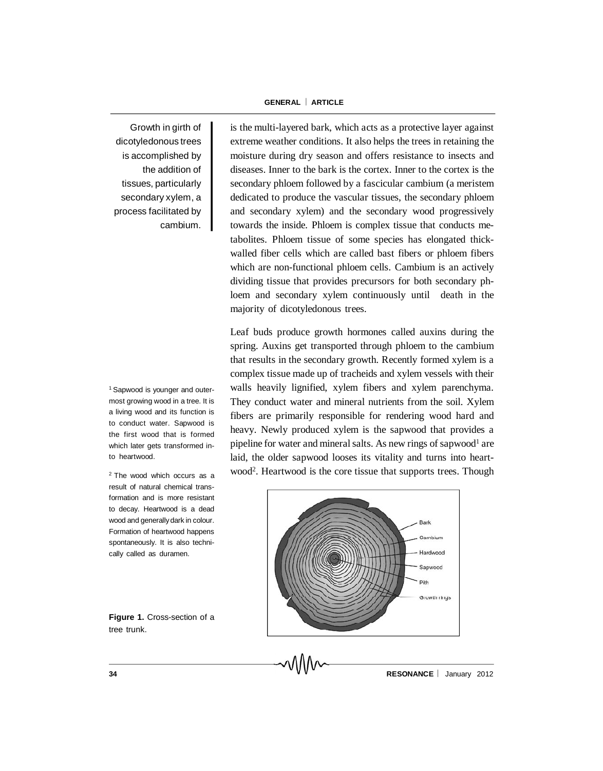Growth in girth of dicotyledonous trees is accomplished by the addition of tissues, particularly secondary xylem, a process facilitated by cambium.

<sup>1</sup> Sapwood is younger and outermost growing wood in a tree. It is a living wood and its function is to conduct water. Sapwood is the first wood that is formed which later gets transformed into heartwood.

<sup>2</sup> The wood which occurs as a result of natural chemical transformation and is more resistant to decay. Heartwood is a dead wood and generally dark in colour. Formation of heartwood happens spontaneously. It is also technically called as duramen.

**Figure 1.** Cross-section of a tree trunk.

is the multi-layered bark, which acts as a protective layer against extreme weather conditions. It also helps the trees in retaining the moisture during dry season and offers resistance to insects and diseases. Inner to the bark is the cortex. Inner to the cortex is the secondary phloem followed by a fascicular cambium (a meristem dedicated to produce the vascular tissues, the secondary phloem and secondary xylem) and the secondary wood progressively towards the inside. Phloem is complex tissue that conducts metabolites. Phloem tissue of some species has elongated thickwalled fiber cells which are called bast fibers or phloem fibers which are non-functional phloem cells. Cambium is an actively dividing tissue that provides precursors for both secondary phloem and secondary xylem continuously until death in the majority of dicotyledonous trees.

Leaf buds produce growth hormones called auxins during the spring. Auxins get transported through phloem to the cambium that results in the secondary growth. Recently formed xylem is a complex tissue made up of tracheids and xylem vessels with their walls heavily lignified, xylem fibers and xylem parenchyma. They conduct water and mineral nutrients from the soil. Xylem fibers are primarily responsible for rendering wood hard and heavy. Newly produced xylem is the sapwood that provides a pipeline for water and mineral salts. As new rings of sapwood<sup>1</sup> are laid, the older sapwood looses its vitality and turns into heartwood<sup>2</sup>. Heartwood is the core tissue that supports trees. Though

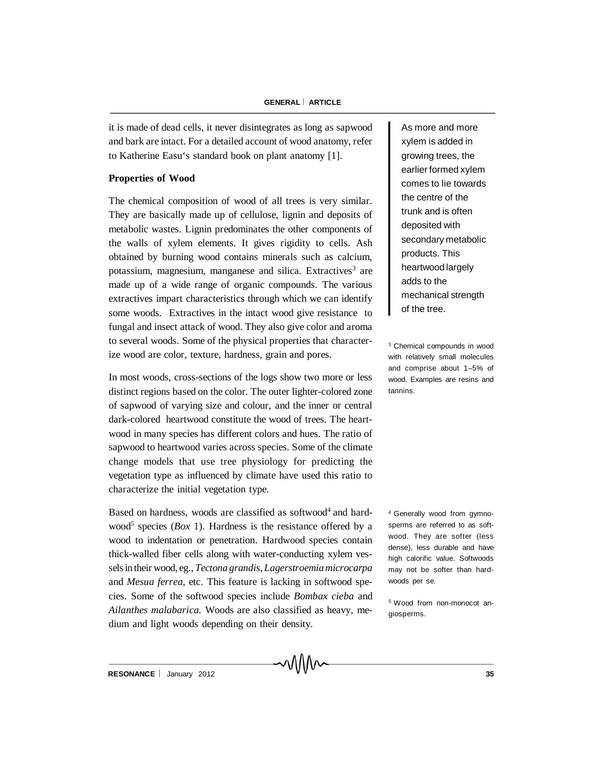it is made of dead cells, it never disintegrates as long as sapwood and bark are intact. For a detailed account of wood anatomy, refer to Katherine Easu's standard book on plant anatomy [1].

## **Properties of Wood**

The chemical composition of wood of all trees is very similar. They are basically made up of cellulose, lignin and deposits of metabolic wastes. Lignin predominates the other components of the walls of xylem elements. It gives rigidity to cells. Ash obtained by burning wood contains minerals such as calcium, potassium, magnesium, manganese and silica. Extractives<sup>3</sup> are made up of a wide range of organic compounds. The various extractives impart characteristics through which we can identify some woods. Extractives in the intact wood give resistance to fungal and insect attack of wood. They also give color and aroma to several woods. Some of the physical properties that characterize wood are color, texture, hardness, grain and pores.

In most woods, cross-sections of the logs show two more or less distinct regions based on the color. The outer lighter-colored zone of sapwood of varying size and colour, and the inner or central dark-colored heartwood constitute the wood of trees. The heartwood in many species has different colors and hues. The ratio of sapwood to heartwood varies across species. Some of the climate change models that use tree physiology for predicting the vegetation type as influenced by climate have used this ratio to characterize the initial vegetation type.

Based on hardness, woods are classified as softwood<sup>4</sup> and hardwood<sup>5</sup> species (*Box* 1). Hardness is the resistance offered by a species wood to indentation or penetration. Hardwood species contain thick-walled fiber cells along with water-conducting xylem vessels in their wood, eg., *Tectona grandis*, *Lagerstroemiamicrocarpa* and *Mesua ferrea,* etc. This feature is lacking in softwood species. Some of the softwood species include *Bombax cieba* and *Ailanthes malabarica.* Woods are also classified as heavy, medium and light woods depending on their density.

As more and more xylem is added in growing trees, the earlier formed xylem comes to lie towards the centre of the trunk and is often deposited with secondary metabolic products. This heartwood largely adds to the mechanical strength of the tree.

<sup>3</sup> Chemical compounds in wood with relatively small molecules and comprise about 1–5% of wood. Examples are resins and tannins.

<sup>4</sup> Generally wood from gymnosperms are referred to as softwood. They are softer (less dense), less durable and have high calorific value. Softwoods may not be softer than hardwoods per se.

<sup>5</sup> Wood from non-monocot angiosperms.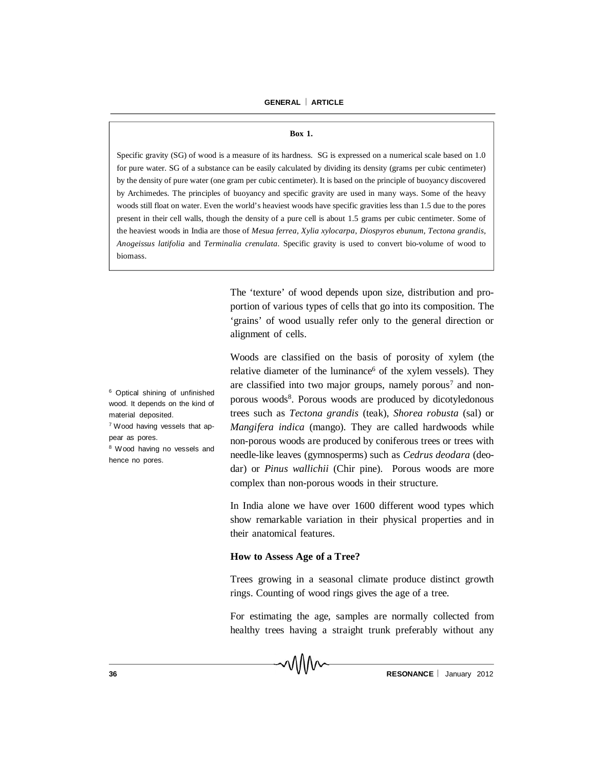#### **Box 1.**

Specific gravity (SG) of wood is a measure of its hardness. SG is expressed on a numerical scale based on 1.0 for pure water. SG of a substance can be easily calculated by dividing its density (grams per cubic centimeter) by the density of pure water (one gram per cubic centimeter). It is based on the principle of buoyancy discovered by Archimedes. The principles of buoyancy and specific gravity are used in many ways. Some of the heavy woods still float on water. Even the world's heaviest woods have specific gravities less than 1.5 due to the pores present in their cell walls, though the density of a pure cell is about 1.5 grams per cubic centimeter. Some of the heaviest woods in India are those of *Mesua ferrea, Xylia xylocarpa*, *Diospyros ebunum, Tectona grandis, Anogeissus latifolia* and *Terminalia crenulata*. Specific gravity is used to convert bio-volume of wood to biomass.

> The 'texture' of wood depends upon size, distribution and proportion of various types of cells that go into its composition. The 'grains' of wood usually refer only to the general direction or alignment of cells.

> Woods are classified on the basis of porosity of xylem (the relative diameter of the luminance<sup>6</sup> of the xylem vessels). They are classified into two major groups, namely porous<sup>7</sup> and nonporous woods<sup>8</sup>. Porous woods are produced by dicotyledonous trees such as *Tectona grandis* (teak), *Shorea robusta* (sal) or *Mangifera indica* (mango). They are called hardwoods while non-porous woods are produced by coniferous trees or trees with needle-like leaves (gymnosperms) such as *Cedrus deodara* (deodar) or *Pinus wallichii* (Chir pine). Porous woods are more complex than non-porous woods in their structure.

> In India alone we have over 1600 different wood types which show remarkable variation in their physical properties and in their anatomical features.

#### **How to Assess Age of a Tree?**

Trees growing in a seasonal climate produce distinct growth rings. Counting of wood rings gives the age of a tree.

For estimating the age, samples are normally collected from healthy trees having a straight trunk preferably without any



<sup>6</sup> Optical shining of unfinished wood. It depends on the kind of material deposited. <sup>7</sup> Wood having vessels that ap-

pear as pores. <sup>8</sup> Wood having no vessels and

hence no pores.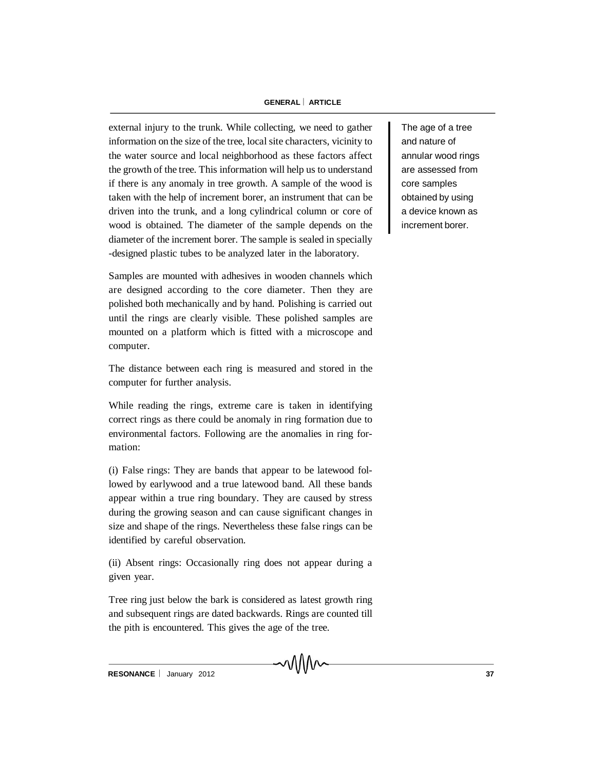external injury to the trunk. While collecting, we need to gather information on the size of the tree, local site characters, vicinity to the water source and local neighborhood as these factors affect the growth of the tree. This information will help us to understand if there is any anomaly in tree growth. A sample of the wood is taken with the help of increment borer, an instrument that can be driven into the trunk, and a long cylindrical column or core of wood is obtained. The diameter of the sample depends on the diameter of the increment borer. The sample is sealed in specially -designed plastic tubes to be analyzed later in the laboratory.

Samples are mounted with adhesives in wooden channels which are designed according to the core diameter. Then they are polished both mechanically and by hand. Polishing is carried out until the rings are clearly visible. These polished samples are mounted on a platform which is fitted with a microscope and computer.

The distance between each ring is measured and stored in the computer for further analysis.

While reading the rings, extreme care is taken in identifying correct rings as there could be anomaly in ring formation due to environmental factors. Following are the anomalies in ring formation:

(i) False rings: They are bands that appear to be latewood followed by earlywood and a true latewood band. All these bands appear within a true ring boundary. They are caused by stress during the growing season and can cause significant changes in size and shape of the rings. Nevertheless these false rings can be identified by careful observation.

(ii) Absent rings: Occasionally ring does not appear during a given year.

Tree ring just below the bark is considered as latest growth ring and subsequent rings are dated backwards. Rings are counted till the pith is encountered. This gives the age of the tree.

The age of a tree and nature of annular wood rings are assessed from core samples obtained by using a device known as increment borer.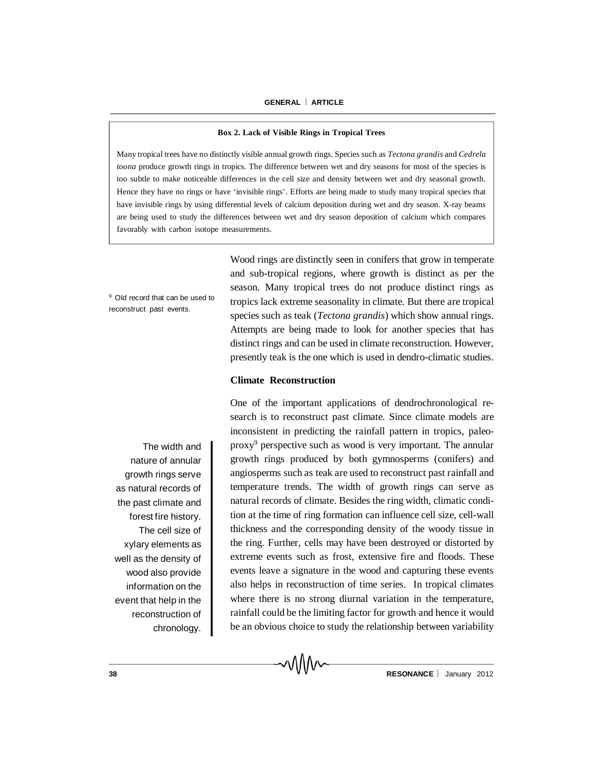## **Box 2. Lack of Visible Rings in Tropical Trees**

Many tropical trees have no distinctly visible annual growth rings. Species such as *Tectona grandis* and *Cedrela toona* produce growth rings in tropics. The difference between wet and dry seasons for most of the species is too subtle to make noticeable differences in the cell size and density between wet and dry seasonal growth. Hence they have no rings or have 'invisible rings'. Efforts are being made to study many tropical species that have invisible rings by using differential levels of calcium deposition during wet and dry season. X-ray beams are being used to study the differences between wet and dry season deposition of calcium which compares favorably with carbon isotope measurements.

<sup>9</sup> Old record that can be used to reconstruct past events.

Wood rings are distinctly seen in conifers that grow in temperate and sub-tropical regions, where growth is distinct as per the season. Many tropical trees do not produce distinct rings as tropics lack extreme seasonality in climate. But there are tropical species such as teak (*Tectona grandis*) which show annual rings. Attempts are being made to look for another species that has distinct rings and can be used in climate reconstruction. However, presently teak is the one which is used in dendro-climatic studies.

#### **Climate Reconstruction**

√∖∖∖∖∧∼

One of the important applications of dendrochronological research is to reconstruct past climate. Since climate models are inconsistent in predicting the rainfall pattern in tropics, paleoproxy<sup>9</sup> perspective such as wood is very important. The annular growth rings produced by both gymnosperms (conifers) and angiosperms such as teak are used to reconstruct past rainfall and temperature trends. The width of growth rings can serve as natural records of climate. Besides the ring width, climatic condition at the time of ring formation can influence cell size, cell-wall thickness and the corresponding density of the woody tissue in the ring. Further, cells may have been destroyed or distorted by extreme events such as frost, extensive fire and floods. These events leave a signature in the wood and capturing these events also helps in reconstruction of time series. In tropical climates where there is no strong diurnal variation in the temperature, rainfall could be the limiting factor for growth and hence it would be an obvious choice to study the relationship between variability

The width and nature of annular growth rings serve as natural records of the past climate and forest fire history. The cell size of xylary elements as well as the density of wood also provide information on the event that help in the reconstruction of chronology.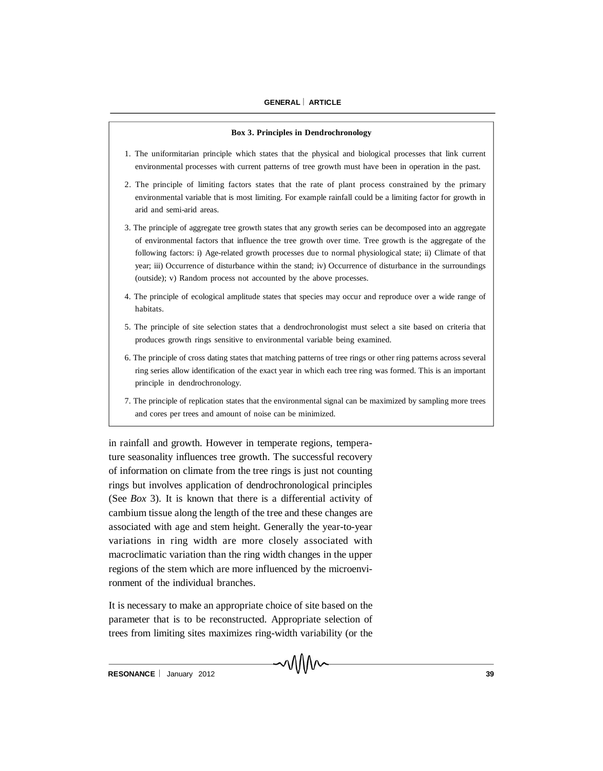#### **Box 3. Principles in Dendrochronology**

- 1. The uniformitarian principle which states that the physical and biological processes that link current environmental processes with current patterns of tree growth must have been in operation in the past.
- 2. The principle of limiting factors states that the rate of plant process constrained by the primary environmental variable that is most limiting. For example rainfall could be a limiting factor for growth in arid and semi-arid areas.
- 3. The principle of aggregate tree growth states that any growth series can be decomposed into an aggregate of environmental factors that influence the tree growth over time. Tree growth is the aggregate of the following factors: i) Age-related growth processes due to normal physiological state; ii) Climate of that year; iii) Occurrence of disturbance within the stand; iv) Occurrence of disturbance in the surroundings (outside); v) Random process not accounted by the above processes.
- 4. The principle of ecological amplitude states that species may occur and reproduce over a wide range of habitats.
- 5. The principle of site selection states that a dendrochronologist must select a site based on criteria that produces growth rings sensitive to environmental variable being examined.
- 6. The principle of cross dating states that matching patterns of tree rings or other ring patterns across several ring series allow identification of the exact year in which each tree ring was formed. This is an important principle in dendrochronology.
- 7. The principle of replication states that the environmental signal can be maximized by sampling more trees and cores per trees and amount of noise can be minimized.

in rainfall and growth. However in temperate regions, temperature seasonality influences tree growth. The successful recovery of information on climate from the tree rings is just not counting rings but involves application of dendrochronological principles (See *Box* 3). It is known that there is a differential activity of cambium tissue along the length of the tree and these changes are associated with age and stem height. Generally the year-to-year variations in ring width are more closely associated with macroclimatic variation than the ring width changes in the upper regions of the stem which are more influenced by the microenvironment of the individual branches.

It is necessary to make an appropriate choice of site based on the parameter that is to be reconstructed. Appropriate selection of trees from limiting sites maximizes ring-width variability (or the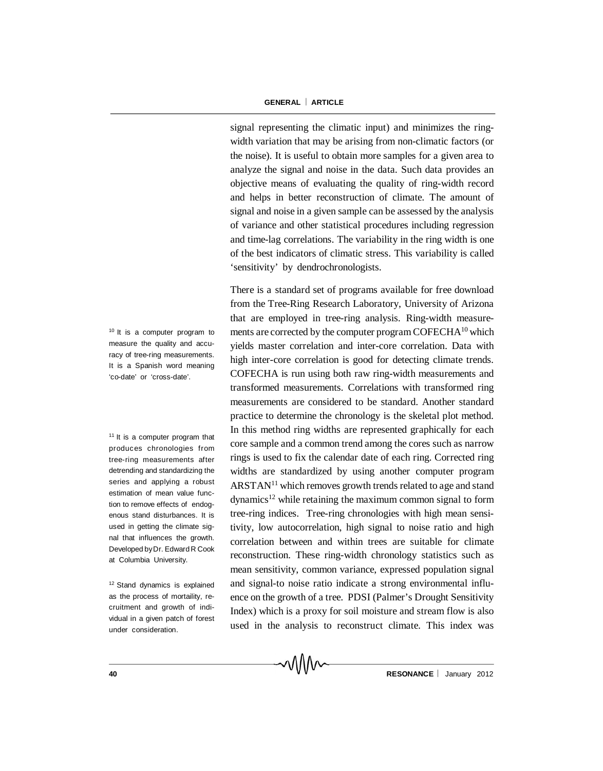signal representing the climatic input) and minimizes the ringwidth variation that may be arising from non-climatic factors (or the noise). It is useful to obtain more samples for a given area to analyze the signal and noise in the data. Such data provides an objective means of evaluating the quality of ring-width record and helps in better reconstruction of climate. The amount of signal and noise in a given sample can be assessed by the analysis of variance and other statistical procedures including regression and time-lag correlations. The variability in the ring width is one of the best indicators of climatic stress. This variability is called 'sensitivity' by dendrochronologists.

There is a standard set of programs available for free download from the Tree-Ring Research Laboratory, University of Arizona that are employed in tree-ring analysis. Ring-width measurements are corrected by the computer program COFECHA<sup>10</sup> which yields master correlation and inter-core correlation. Data with high inter-core correlation is good for detecting climate trends. COFECHA is run using both raw ring-width measurements and transformed measurements. Correlations with transformed ring measurements are considered to be standard. Another standard practice to determine the chronology is the skeletal plot method. In this method ring widths are represented graphically for each core sample and a common trend among the cores such as narrow rings is used to fix the calendar date of each ring. Corrected ring widths are standardized by using another computer program ARSTAN<sup>11</sup> which removes growth trends related to age and stand  $d$ ynamics<sup>12</sup> while retaining the maximum common signal to form tree-ring indices. Tree-ring chronologies with high mean sensitivity, low autocorrelation, high signal to noise ratio and high correlation between and within trees are suitable for climate reconstruction. These ring-width chronology statistics such as mean sensitivity, common variance, expressed population signal and signal-to noise ratio indicate a strong environmental influence on the growth of a tree. PDSI (Palmer's Drought Sensitivity Index) which is a proxy for soil moisture and stream flow is also used in the analysis to reconstruct climate. This index was

MMM



 $11$  It is a computer program that produces chronologies from tree-ring measurements after detrending and standardizing the series and applying a robust estimation of mean value function to remove effects of endogenous stand disturbances. It is used in getting the climate signal that influences the growth. Developed byDr. Edward R Cook at Columbia University.

12 Stand dynamics is explained as the process of mortaility, recruitment and growth of individual in a given patch of forest under consideration.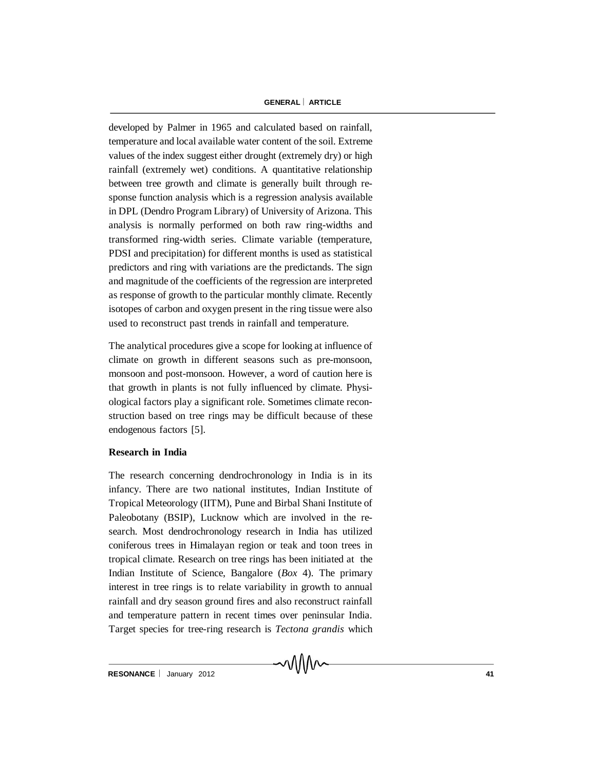developed by Palmer in 1965 and calculated based on rainfall, temperature and local available water content of the soil. Extreme values of the index suggest either drought (extremely dry) or high rainfall (extremely wet) conditions. A quantitative relationship between tree growth and climate is generally built through response function analysis which is a regression analysis available in DPL (Dendro Program Library) of University of Arizona. This analysis is normally performed on both raw ring-widths and transformed ring-width series. Climate variable (temperature, PDSI and precipitation) for different months is used as statistical predictors and ring with variations are the predictands. The sign and magnitude of the coefficients of the regression are interpreted as response of growth to the particular monthly climate. Recently isotopes of carbon and oxygen present in the ring tissue were also used to reconstruct past trends in rainfall and temperature.

The analytical procedures give a scope for looking at influence of climate on growth in different seasons such as pre-monsoon, monsoon and post-monsoon. However, a word of caution here is that growth in plants is not fully influenced by climate. Physiological factors play a significant role. Sometimes climate reconstruction based on tree rings may be difficult because of these endogenous factors [5].

## **Research in India**

The research concerning dendrochronology in India is in its infancy. There are two national institutes, Indian Institute of Tropical Meteorology (IITM), Pune and Birbal Shani Institute of Paleobotany (BSIP), Lucknow which are involved in the research. Most dendrochronology research in India has utilized coniferous trees in Himalayan region or teak and toon trees in tropical climate. Research on tree rings has been initiated at the Indian Institute of Science, Bangalore (*Box* 4). The primary interest in tree rings is to relate variability in growth to annual rainfall and dry season ground fires and also reconstruct rainfall and temperature pattern in recent times over peninsular India. Target species for tree-ring research is *Tectona grandis* which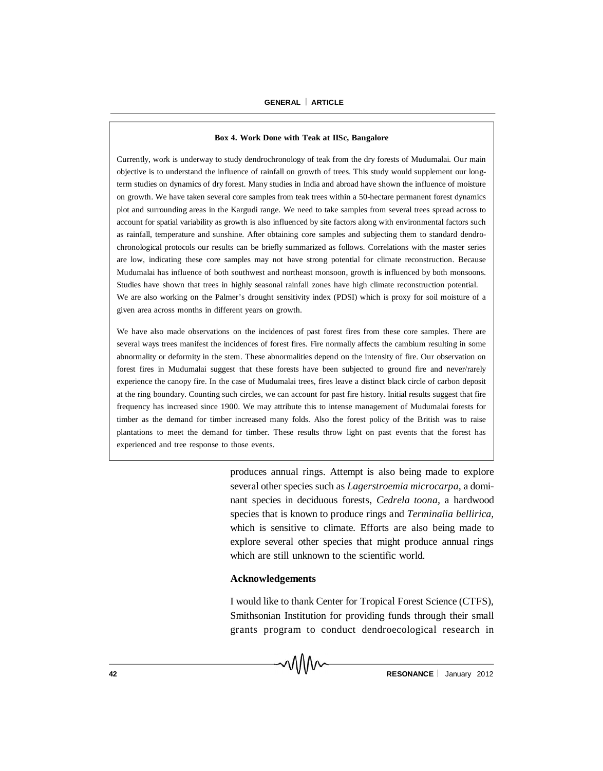#### **Box 4. Work Done with Teak at IISc, Bangalore**

Currently, work is underway to study dendrochronology of teak from the dry forests of Mudumalai. Our main objective is to understand the influence of rainfall on growth of trees. This study would supplement our longterm studies on dynamics of dry forest. Many studies in India and abroad have shown the influence of moisture on growth. We have taken several core samples from teak trees within a 50-hectare permanent forest dynamics plot and surrounding areas in the Kargudi range. We need to take samples from several trees spread across to account for spatial variability as growth is also influenced by site factors along with environmental factors such as rainfall, temperature and sunshine. After obtaining core samples and subjecting them to standard dendrochronological protocols our results can be briefly summarized as follows. Correlations with the master series are low, indicating these core samples may not have strong potential for climate reconstruction. Because Mudumalai has influence of both southwest and northeast monsoon, growth is influenced by both monsoons. Studies have shown that trees in highly seasonal rainfall zones have high climate reconstruction potential. We are also working on the Palmer's drought sensitivity index (PDSI) which is proxy for soil moisture of a given area across months in different years on growth.

We have also made observations on the incidences of past forest fires from these core samples. There are several ways trees manifest the incidences of forest fires. Fire normally affects the cambium resulting in some abnormality or deformity in the stem. These abnormalities depend on the intensity of fire. Our observation on forest fires in Mudumalai suggest that these forests have been subjected to ground fire and never/rarely experience the canopy fire. In the case of Mudumalai trees, fires leave a distinct black circle of carbon deposit at the ring boundary. Counting such circles, we can account for past fire history. Initial results suggest that fire frequency has increased since 1900. We may attribute this to intense management of Mudumalai forests for timber as the demand for timber increased many folds. Also the forest policy of the British was to raise plantations to meet the demand for timber. These results throw light on past events that the forest has experienced and tree response to those events.

> produces annual rings. Attempt is also being made to explore several other species such as *Lagerstroemia microcarpa,* a dominant species in deciduous forests, *Cedrela toona,* a hardwood species that is known to produce rings and *Terminalia bellirica,* which is sensitive to climate. Efforts are also being made to explore several other species that might produce annual rings which are still unknown to the scientific world.

## **Acknowledgements**

MMM

I would like to thank Center for Tropical Forest Science (CTFS), Smithsonian Institution for providing funds through their small grants program to conduct dendroecological research in